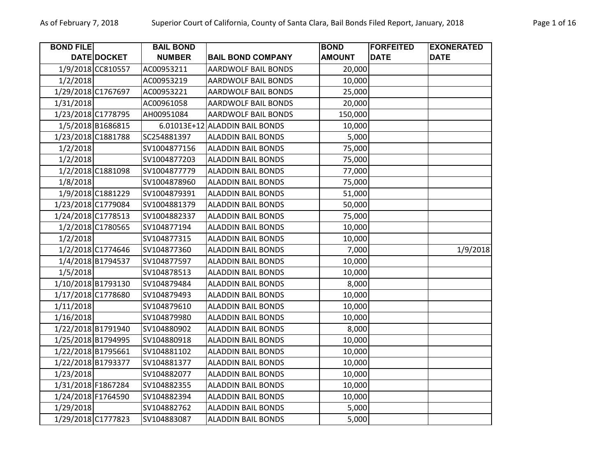| <b>BOND FILE</b>   |                   | <b>BAIL BOND</b> |                                | <b>BOND</b>   | <b>FORFEITED</b> | <b>EXONERATED</b> |
|--------------------|-------------------|------------------|--------------------------------|---------------|------------------|-------------------|
|                    | DATE DOCKET       | <b>NUMBER</b>    | <b>BAIL BOND COMPANY</b>       | <b>AMOUNT</b> | <b>DATE</b>      | <b>DATE</b>       |
|                    | 1/9/2018 CC810557 | AC00953211       | <b>AARDWOLF BAIL BONDS</b>     | 20,000        |                  |                   |
| 1/2/2018           |                   | AC00953219       | <b>AARDWOLF BAIL BONDS</b>     | 10,000        |                  |                   |
| 1/29/2018 C1767697 |                   | AC00953221       | <b>AARDWOLF BAIL BONDS</b>     | 25,000        |                  |                   |
| 1/31/2018          |                   | AC00961058       | <b>AARDWOLF BAIL BONDS</b>     | 20,000        |                  |                   |
| 1/23/2018 C1778795 |                   | AH00951084       | <b>AARDWOLF BAIL BONDS</b>     | 150,000       |                  |                   |
|                    | 1/5/2018 B1686815 |                  | 6.01013E+12 ALADDIN BAIL BONDS | 10,000        |                  |                   |
| 1/23/2018 C1881788 |                   | SC254881397      | <b>ALADDIN BAIL BONDS</b>      | 5,000         |                  |                   |
| 1/2/2018           |                   | SV1004877156     | <b>ALADDIN BAIL BONDS</b>      | 75,000        |                  |                   |
| 1/2/2018           |                   | SV1004877203     | <b>ALADDIN BAIL BONDS</b>      | 75,000        |                  |                   |
|                    | 1/2/2018 C1881098 | SV1004877779     | <b>ALADDIN BAIL BONDS</b>      | 77,000        |                  |                   |
| 1/8/2018           |                   | SV1004878960     | <b>ALADDIN BAIL BONDS</b>      | 75,000        |                  |                   |
|                    | 1/9/2018 C1881229 | SV1004879391     | <b>ALADDIN BAIL BONDS</b>      | 51,000        |                  |                   |
| 1/23/2018 C1779084 |                   | SV1004881379     | <b>ALADDIN BAIL BONDS</b>      | 50,000        |                  |                   |
| 1/24/2018 C1778513 |                   | SV1004882337     | <b>ALADDIN BAIL BONDS</b>      | 75,000        |                  |                   |
|                    | 1/2/2018 C1780565 | SV104877194      | <b>ALADDIN BAIL BONDS</b>      | 10,000        |                  |                   |
| 1/2/2018           |                   | SV104877315      | <b>ALADDIN BAIL BONDS</b>      | 10,000        |                  |                   |
|                    | 1/2/2018 C1774646 | SV104877360      | <b>ALADDIN BAIL BONDS</b>      | 7,000         |                  | 1/9/2018          |
|                    | 1/4/2018 B1794537 | SV104877597      | <b>ALADDIN BAIL BONDS</b>      | 10,000        |                  |                   |
| 1/5/2018           |                   | SV104878513      | <b>ALADDIN BAIL BONDS</b>      | 10,000        |                  |                   |
| 1/10/2018 B1793130 |                   | SV104879484      | <b>ALADDIN BAIL BONDS</b>      | 8,000         |                  |                   |
| 1/17/2018 C1778680 |                   | SV104879493      | <b>ALADDIN BAIL BONDS</b>      | 10,000        |                  |                   |
| 1/11/2018          |                   | SV104879610      | <b>ALADDIN BAIL BONDS</b>      | 10,000        |                  |                   |
| 1/16/2018          |                   | SV104879980      | <b>ALADDIN BAIL BONDS</b>      | 10,000        |                  |                   |
| 1/22/2018 B1791940 |                   | SV104880902      | <b>ALADDIN BAIL BONDS</b>      | 8,000         |                  |                   |
| 1/25/2018 B1794995 |                   | SV104880918      | <b>ALADDIN BAIL BONDS</b>      | 10,000        |                  |                   |
| 1/22/2018 B1795661 |                   | SV104881102      | <b>ALADDIN BAIL BONDS</b>      | 10,000        |                  |                   |
| 1/22/2018 B1793377 |                   | SV104881377      | <b>ALADDIN BAIL BONDS</b>      | 10,000        |                  |                   |
| 1/23/2018          |                   | SV104882077      | <b>ALADDIN BAIL BONDS</b>      | 10,000        |                  |                   |
| 1/31/2018 F1867284 |                   | SV104882355      | <b>ALADDIN BAIL BONDS</b>      | 10,000        |                  |                   |
| 1/24/2018 F1764590 |                   | SV104882394      | <b>ALADDIN BAIL BONDS</b>      | 10,000        |                  |                   |
| 1/29/2018          |                   | SV104882762      | <b>ALADDIN BAIL BONDS</b>      | 5,000         |                  |                   |
| 1/29/2018 C1777823 |                   | SV104883087      | <b>ALADDIN BAIL BONDS</b>      | 5,000         |                  |                   |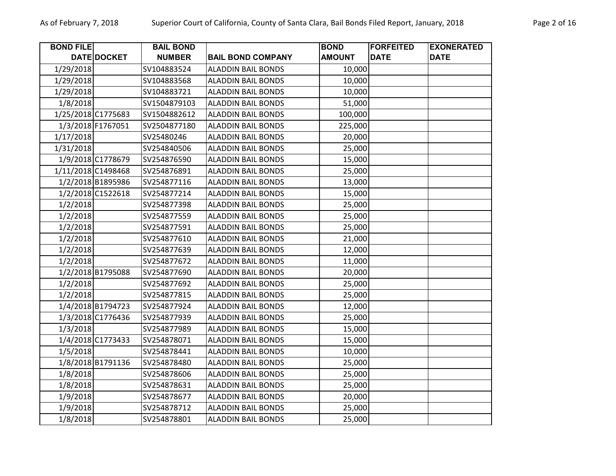| <b>BOND FILE</b>   |                   | <b>BAIL BOND</b> |                           | <b>BOND</b>   | <b>FORFEITED</b> | <b>EXONERATED</b> |
|--------------------|-------------------|------------------|---------------------------|---------------|------------------|-------------------|
|                    | DATE DOCKET       | <b>NUMBER</b>    | <b>BAIL BOND COMPANY</b>  | <b>AMOUNT</b> | <b>DATE</b>      | <b>DATE</b>       |
| 1/29/2018          |                   | SV104883524      | <b>ALADDIN BAIL BONDS</b> | 10,000        |                  |                   |
| 1/29/2018          |                   | SV104883568      | <b>ALADDIN BAIL BONDS</b> | 10,000        |                  |                   |
| 1/29/2018          |                   | SV104883721      | <b>ALADDIN BAIL BONDS</b> | 10,000        |                  |                   |
| 1/8/2018           |                   | SV1504879103     | <b>ALADDIN BAIL BONDS</b> | 51,000        |                  |                   |
| 1/25/2018 C1775683 |                   | SV1504882612     | <b>ALADDIN BAIL BONDS</b> | 100,000       |                  |                   |
|                    | 1/3/2018 F1767051 | SV2504877180     | <b>ALADDIN BAIL BONDS</b> | 225,000       |                  |                   |
| 1/17/2018          |                   | SV25480246       | <b>ALADDIN BAIL BONDS</b> | 20,000        |                  |                   |
| 1/31/2018          |                   | SV254840506      | <b>ALADDIN BAIL BONDS</b> | 25,000        |                  |                   |
|                    | 1/9/2018 C1778679 | SV254876590      | <b>ALADDIN BAIL BONDS</b> | 15,000        |                  |                   |
| 1/11/2018 C1498468 |                   | SV254876891      | <b>ALADDIN BAIL BONDS</b> | 25,000        |                  |                   |
|                    | 1/2/2018 B1895986 | SV254877116      | <b>ALADDIN BAIL BONDS</b> | 13,000        |                  |                   |
|                    | 1/2/2018 C1522618 | SV254877214      | <b>ALADDIN BAIL BONDS</b> | 15,000        |                  |                   |
| 1/2/2018           |                   | SV254877398      | <b>ALADDIN BAIL BONDS</b> | 25,000        |                  |                   |
| 1/2/2018           |                   | SV254877559      | <b>ALADDIN BAIL BONDS</b> | 25,000        |                  |                   |
| 1/2/2018           |                   | SV254877591      | <b>ALADDIN BAIL BONDS</b> | 25,000        |                  |                   |
| 1/2/2018           |                   | SV254877610      | <b>ALADDIN BAIL BONDS</b> | 21,000        |                  |                   |
| 1/2/2018           |                   | SV254877639      | <b>ALADDIN BAIL BONDS</b> | 12,000        |                  |                   |
| 1/2/2018           |                   | SV254877672      | <b>ALADDIN BAIL BONDS</b> | 11,000        |                  |                   |
|                    | 1/2/2018 B1795088 | SV254877690      | <b>ALADDIN BAIL BONDS</b> | 20,000        |                  |                   |
| 1/2/2018           |                   | SV254877692      | <b>ALADDIN BAIL BONDS</b> | 25,000        |                  |                   |
| 1/2/2018           |                   | SV254877815      | <b>ALADDIN BAIL BONDS</b> | 25,000        |                  |                   |
|                    | 1/4/2018 B1794723 | SV254877924      | <b>ALADDIN BAIL BONDS</b> | 12,000        |                  |                   |
|                    | 1/3/2018 C1776436 | SV254877939      | <b>ALADDIN BAIL BONDS</b> | 25,000        |                  |                   |
| 1/3/2018           |                   | SV254877989      | <b>ALADDIN BAIL BONDS</b> | 15,000        |                  |                   |
|                    | 1/4/2018 C1773433 | SV254878071      | <b>ALADDIN BAIL BONDS</b> | 15,000        |                  |                   |
| 1/5/2018           |                   | SV254878441      | <b>ALADDIN BAIL BONDS</b> | 10,000        |                  |                   |
|                    | 1/8/2018 B1791136 | SV254878480      | <b>ALADDIN BAIL BONDS</b> | 25,000        |                  |                   |
| 1/8/2018           |                   | SV254878606      | <b>ALADDIN BAIL BONDS</b> | 25,000        |                  |                   |
| 1/8/2018           |                   | SV254878631      | <b>ALADDIN BAIL BONDS</b> | 25,000        |                  |                   |
| 1/9/2018           |                   | SV254878677      | <b>ALADDIN BAIL BONDS</b> | 20,000        |                  |                   |
| 1/9/2018           |                   | SV254878712      | <b>ALADDIN BAIL BONDS</b> | 25,000        |                  |                   |
| 1/8/2018           |                   | SV254878801      | <b>ALADDIN BAIL BONDS</b> | 25,000        |                  |                   |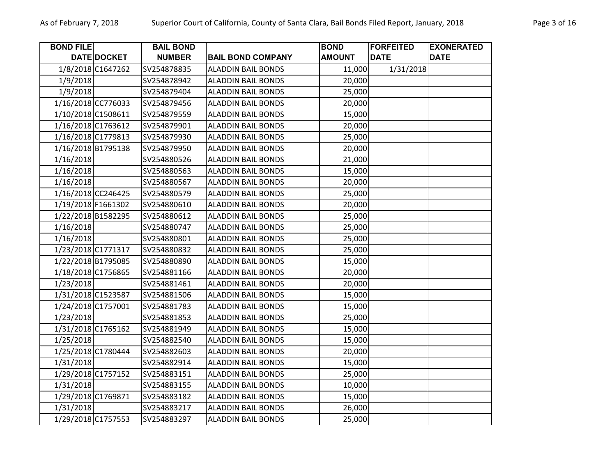| <b>BOND FILE</b>   |                   | <b>BAIL BOND</b> |                           | <b>BOND</b>   | <b>FORFEITED</b> | <b>EXONERATED</b> |
|--------------------|-------------------|------------------|---------------------------|---------------|------------------|-------------------|
|                    | DATE DOCKET       | <b>NUMBER</b>    | <b>BAIL BOND COMPANY</b>  | <b>AMOUNT</b> | <b>DATE</b>      | <b>DATE</b>       |
|                    | 1/8/2018 C1647262 | SV254878835      | <b>ALADDIN BAIL BONDS</b> | 11,000        | 1/31/2018        |                   |
| 1/9/2018           |                   | SV254878942      | <b>ALADDIN BAIL BONDS</b> | 20,000        |                  |                   |
| 1/9/2018           |                   | SV254879404      | <b>ALADDIN BAIL BONDS</b> | 25,000        |                  |                   |
| 1/16/2018 CC776033 |                   | SV254879456      | <b>ALADDIN BAIL BONDS</b> | 20,000        |                  |                   |
| 1/10/2018 C1508611 |                   | SV254879559      | <b>ALADDIN BAIL BONDS</b> | 15,000        |                  |                   |
| 1/16/2018 C1763612 |                   | SV254879901      | <b>ALADDIN BAIL BONDS</b> | 20,000        |                  |                   |
| 1/16/2018 C1779813 |                   | SV254879930      | <b>ALADDIN BAIL BONDS</b> | 25,000        |                  |                   |
| 1/16/2018 B1795138 |                   | SV254879950      | <b>ALADDIN BAIL BONDS</b> | 20,000        |                  |                   |
| 1/16/2018          |                   | SV254880526      | <b>ALADDIN BAIL BONDS</b> | 21,000        |                  |                   |
| 1/16/2018          |                   | SV254880563      | <b>ALADDIN BAIL BONDS</b> | 15,000        |                  |                   |
| 1/16/2018          |                   | SV254880567      | <b>ALADDIN BAIL BONDS</b> | 20,000        |                  |                   |
| 1/16/2018 CC246425 |                   | SV254880579      | <b>ALADDIN BAIL BONDS</b> | 25,000        |                  |                   |
| 1/19/2018 F1661302 |                   | SV254880610      | <b>ALADDIN BAIL BONDS</b> | 20,000        |                  |                   |
| 1/22/2018 B1582295 |                   | SV254880612      | <b>ALADDIN BAIL BONDS</b> | 25,000        |                  |                   |
| 1/16/2018          |                   | SV254880747      | <b>ALADDIN BAIL BONDS</b> | 25,000        |                  |                   |
| 1/16/2018          |                   | SV254880801      | <b>ALADDIN BAIL BONDS</b> | 25,000        |                  |                   |
| 1/23/2018 C1771317 |                   | SV254880832      | <b>ALADDIN BAIL BONDS</b> | 25,000        |                  |                   |
| 1/22/2018 B1795085 |                   | SV254880890      | <b>ALADDIN BAIL BONDS</b> | 15,000        |                  |                   |
| 1/18/2018 C1756865 |                   | SV254881166      | <b>ALADDIN BAIL BONDS</b> | 20,000        |                  |                   |
| 1/23/2018          |                   | SV254881461      | <b>ALADDIN BAIL BONDS</b> | 20,000        |                  |                   |
| 1/31/2018 C1523587 |                   | SV254881506      | <b>ALADDIN BAIL BONDS</b> | 15,000        |                  |                   |
| 1/24/2018 C1757001 |                   | SV254881783      | <b>ALADDIN BAIL BONDS</b> | 15,000        |                  |                   |
| 1/23/2018          |                   | SV254881853      | <b>ALADDIN BAIL BONDS</b> | 25,000        |                  |                   |
| 1/31/2018 C1765162 |                   | SV254881949      | <b>ALADDIN BAIL BONDS</b> | 15,000        |                  |                   |
| 1/25/2018          |                   | SV254882540      | <b>ALADDIN BAIL BONDS</b> | 15,000        |                  |                   |
| 1/25/2018 C1780444 |                   | SV254882603      | <b>ALADDIN BAIL BONDS</b> | 20,000        |                  |                   |
| 1/31/2018          |                   | SV254882914      | <b>ALADDIN BAIL BONDS</b> | 15,000        |                  |                   |
| 1/29/2018 C1757152 |                   | SV254883151      | <b>ALADDIN BAIL BONDS</b> | 25,000        |                  |                   |
| 1/31/2018          |                   | SV254883155      | <b>ALADDIN BAIL BONDS</b> | 10,000        |                  |                   |
| 1/29/2018 C1769871 |                   | SV254883182      | <b>ALADDIN BAIL BONDS</b> | 15,000        |                  |                   |
| 1/31/2018          |                   | SV254883217      | <b>ALADDIN BAIL BONDS</b> | 26,000        |                  |                   |
| 1/29/2018 C1757553 |                   | SV254883297      | <b>ALADDIN BAIL BONDS</b> | 25,000        |                  |                   |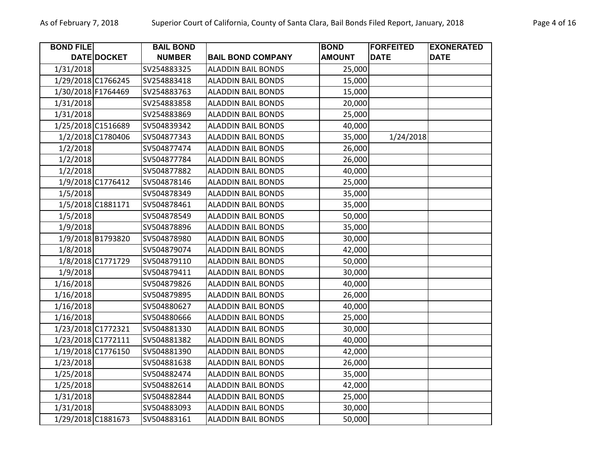| <b>BOND FILE</b>   |                   | <b>BAIL BOND</b> |                           | <b>BOND</b>   | <b>FORFEITED</b> | <b>EXONERATED</b> |
|--------------------|-------------------|------------------|---------------------------|---------------|------------------|-------------------|
|                    | DATE DOCKET       | <b>NUMBER</b>    | <b>BAIL BOND COMPANY</b>  | <b>AMOUNT</b> | <b>DATE</b>      | <b>DATE</b>       |
| 1/31/2018          |                   | SV254883325      | <b>ALADDIN BAIL BONDS</b> | 25,000        |                  |                   |
| 1/29/2018 C1766245 |                   | SV254883418      | <b>ALADDIN BAIL BONDS</b> | 15,000        |                  |                   |
| 1/30/2018 F1764469 |                   | SV254883763      | <b>ALADDIN BAIL BONDS</b> | 15,000        |                  |                   |
| 1/31/2018          |                   | SV254883858      | <b>ALADDIN BAIL BONDS</b> | 20,000        |                  |                   |
| 1/31/2018          |                   | SV254883869      | <b>ALADDIN BAIL BONDS</b> | 25,000        |                  |                   |
| 1/25/2018 C1516689 |                   | SV504839342      | <b>ALADDIN BAIL BONDS</b> | 40,000        |                  |                   |
|                    | 1/2/2018 C1780406 | SV504877343      | <b>ALADDIN BAIL BONDS</b> | 35,000        | 1/24/2018        |                   |
| 1/2/2018           |                   | SV504877474      | <b>ALADDIN BAIL BONDS</b> | 26,000        |                  |                   |
| 1/2/2018           |                   | SV504877784      | <b>ALADDIN BAIL BONDS</b> | 26,000        |                  |                   |
| 1/2/2018           |                   | SV504877882      | <b>ALADDIN BAIL BONDS</b> | 40,000        |                  |                   |
|                    | 1/9/2018 C1776412 | SV504878146      | <b>ALADDIN BAIL BONDS</b> | 25,000        |                  |                   |
| 1/5/2018           |                   | SV504878349      | <b>ALADDIN BAIL BONDS</b> | 35,000        |                  |                   |
|                    | 1/5/2018 C1881171 | SV504878461      | <b>ALADDIN BAIL BONDS</b> | 35,000        |                  |                   |
| 1/5/2018           |                   | SV504878549      | <b>ALADDIN BAIL BONDS</b> | 50,000        |                  |                   |
| 1/9/2018           |                   | SV504878896      | <b>ALADDIN BAIL BONDS</b> | 35,000        |                  |                   |
|                    | 1/9/2018 B1793820 | SV504878980      | <b>ALADDIN BAIL BONDS</b> | 30,000        |                  |                   |
| 1/8/2018           |                   | SV504879074      | <b>ALADDIN BAIL BONDS</b> | 42,000        |                  |                   |
|                    | 1/8/2018 C1771729 | SV504879110      | <b>ALADDIN BAIL BONDS</b> | 50,000        |                  |                   |
| 1/9/2018           |                   | SV504879411      | <b>ALADDIN BAIL BONDS</b> | 30,000        |                  |                   |
| 1/16/2018          |                   | SV504879826      | <b>ALADDIN BAIL BONDS</b> | 40,000        |                  |                   |
| 1/16/2018          |                   | SV504879895      | <b>ALADDIN BAIL BONDS</b> | 26,000        |                  |                   |
| 1/16/2018          |                   | SV504880627      | <b>ALADDIN BAIL BONDS</b> | 40,000        |                  |                   |
| 1/16/2018          |                   | SV504880666      | <b>ALADDIN BAIL BONDS</b> | 25,000        |                  |                   |
| 1/23/2018 C1772321 |                   | SV504881330      | <b>ALADDIN BAIL BONDS</b> | 30,000        |                  |                   |
| 1/23/2018 C1772111 |                   | SV504881382      | <b>ALADDIN BAIL BONDS</b> | 40,000        |                  |                   |
| 1/19/2018 C1776150 |                   | SV504881390      | <b>ALADDIN BAIL BONDS</b> | 42,000        |                  |                   |
| 1/23/2018          |                   | SV504881638      | <b>ALADDIN BAIL BONDS</b> | 26,000        |                  |                   |
| 1/25/2018          |                   | SV504882474      | <b>ALADDIN BAIL BONDS</b> | 35,000        |                  |                   |
| 1/25/2018          |                   | SV504882614      | <b>ALADDIN BAIL BONDS</b> | 42,000        |                  |                   |
| 1/31/2018          |                   | SV504882844      | <b>ALADDIN BAIL BONDS</b> | 25,000        |                  |                   |
| 1/31/2018          |                   | SV504883093      | <b>ALADDIN BAIL BONDS</b> | 30,000        |                  |                   |
| 1/29/2018 C1881673 |                   | SV504883161      | <b>ALADDIN BAIL BONDS</b> | 50,000        |                  |                   |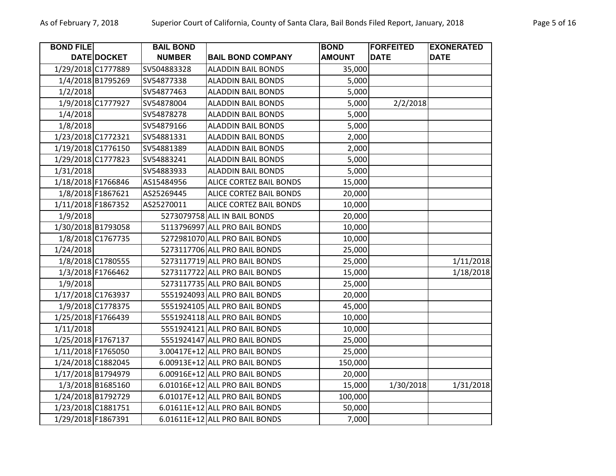| <b>BOND FILE</b>   |                    | <b>BAIL BOND</b> |                                | <b>BOND</b>   | <b>FORFEITED</b> | <b>EXONERATED</b> |
|--------------------|--------------------|------------------|--------------------------------|---------------|------------------|-------------------|
|                    | <b>DATE DOCKET</b> | <b>NUMBER</b>    | <b>BAIL BOND COMPANY</b>       | <b>AMOUNT</b> | <b>DATE</b>      | <b>DATE</b>       |
| 1/29/2018 C1777889 |                    | SV504883328      | <b>ALADDIN BAIL BONDS</b>      | 35,000        |                  |                   |
|                    | 1/4/2018 B1795269  | SV54877338       | <b>ALADDIN BAIL BONDS</b>      | 5,000         |                  |                   |
| 1/2/2018           |                    | SV54877463       | <b>ALADDIN BAIL BONDS</b>      | 5,000         |                  |                   |
|                    | 1/9/2018 C1777927  | SV54878004       | <b>ALADDIN BAIL BONDS</b>      | 5,000         | 2/2/2018         |                   |
| 1/4/2018           |                    | SV54878278       | <b>ALADDIN BAIL BONDS</b>      | 5,000         |                  |                   |
| 1/8/2018           |                    | SV54879166       | <b>ALADDIN BAIL BONDS</b>      | 5,000         |                  |                   |
| 1/23/2018 C1772321 |                    | SV54881331       | <b>ALADDIN BAIL BONDS</b>      | 2,000         |                  |                   |
| 1/19/2018 C1776150 |                    | SV54881389       | <b>ALADDIN BAIL BONDS</b>      | 2,000         |                  |                   |
| 1/29/2018 C1777823 |                    | SV54883241       | <b>ALADDIN BAIL BONDS</b>      | 5,000         |                  |                   |
| 1/31/2018          |                    | SV54883933       | <b>ALADDIN BAIL BONDS</b>      | 5,000         |                  |                   |
| 1/18/2018 F1766846 |                    | AS15484956       | ALICE CORTEZ BAIL BONDS        | 15,000        |                  |                   |
|                    | 1/8/2018 F1867621  | AS25269445       | ALICE CORTEZ BAIL BONDS        | 20,000        |                  |                   |
| 1/11/2018 F1867352 |                    | AS25270011       | ALICE CORTEZ BAIL BONDS        | 10,000        |                  |                   |
| 1/9/2018           |                    |                  | 5273079758 ALL IN BAIL BONDS   | 20,000        |                  |                   |
| 1/30/2018 B1793058 |                    |                  | 5113796997 ALL PRO BAIL BONDS  | 10,000        |                  |                   |
|                    | 1/8/2018 C1767735  |                  | 5272981070 ALL PRO BAIL BONDS  | 10,000        |                  |                   |
| 1/24/2018          |                    |                  | 5273117706 ALL PRO BAIL BONDS  | 25,000        |                  |                   |
|                    | 1/8/2018 C1780555  |                  | 5273117719 ALL PRO BAIL BONDS  | 25,000        |                  | 1/11/2018         |
|                    | 1/3/2018 F1766462  |                  | 5273117722 ALL PRO BAIL BONDS  | 15,000        |                  | 1/18/2018         |
| 1/9/2018           |                    |                  | 5273117735 ALL PRO BAIL BONDS  | 25,000        |                  |                   |
| 1/17/2018 C1763937 |                    |                  | 5551924093 ALL PRO BAIL BONDS  | 20,000        |                  |                   |
|                    | 1/9/2018 C1778375  |                  | 5551924105 ALL PRO BAIL BONDS  | 45,000        |                  |                   |
| 1/25/2018 F1766439 |                    |                  | 5551924118 ALL PRO BAIL BONDS  | 10,000        |                  |                   |
| 1/11/2018          |                    |                  | 5551924121 ALL PRO BAIL BONDS  | 10,000        |                  |                   |
| 1/25/2018 F1767137 |                    |                  | 5551924147 ALL PRO BAIL BONDS  | 25,000        |                  |                   |
| 1/11/2018 F1765050 |                    |                  | 3.00417E+12 ALL PRO BAIL BONDS | 25,000        |                  |                   |
| 1/24/2018 C1882045 |                    |                  | 6.00913E+12 ALL PRO BAIL BONDS | 150,000       |                  |                   |
| 1/17/2018 B1794979 |                    |                  | 6.00916E+12 ALL PRO BAIL BONDS | 20,000        |                  |                   |
|                    | 1/3/2018 B1685160  |                  | 6.01016E+12 ALL PRO BAIL BONDS | 15,000        | 1/30/2018        | 1/31/2018         |
| 1/24/2018 B1792729 |                    |                  | 6.01017E+12 ALL PRO BAIL BONDS | 100,000       |                  |                   |
| 1/23/2018 C1881751 |                    |                  | 6.01611E+12 ALL PRO BAIL BONDS | 50,000        |                  |                   |
| 1/29/2018 F1867391 |                    |                  | 6.01611E+12 ALL PRO BAIL BONDS | 7,000         |                  |                   |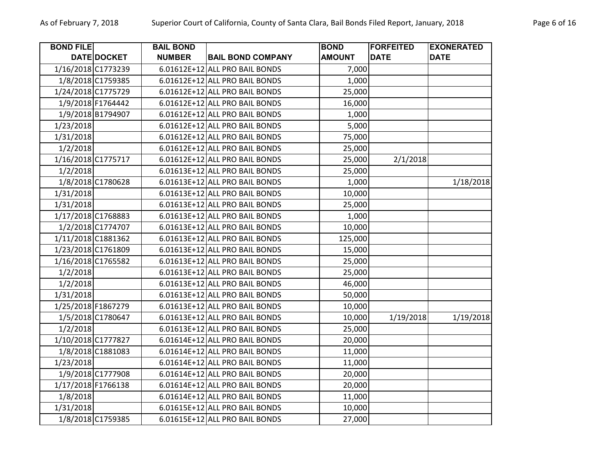| <b>BOND FILE</b>   |                   | <b>BAIL BOND</b> |                                | <b>BOND</b>   | <b>FORFEITED</b> | <b>EXONERATED</b> |
|--------------------|-------------------|------------------|--------------------------------|---------------|------------------|-------------------|
|                    | DATE DOCKET       | <b>NUMBER</b>    | <b>BAIL BOND COMPANY</b>       | <b>AMOUNT</b> | <b>DATE</b>      | <b>DATE</b>       |
| 1/16/2018 C1773239 |                   |                  | 6.01612E+12 ALL PRO BAIL BONDS | 7,000         |                  |                   |
|                    | 1/8/2018 C1759385 |                  | 6.01612E+12 ALL PRO BAIL BONDS | 1,000         |                  |                   |
| 1/24/2018 C1775729 |                   |                  | 6.01612E+12 ALL PRO BAIL BONDS | 25,000        |                  |                   |
|                    | 1/9/2018 F1764442 |                  | 6.01612E+12 ALL PRO BAIL BONDS | 16,000        |                  |                   |
|                    | 1/9/2018 B1794907 |                  | 6.01612E+12 ALL PRO BAIL BONDS | 1,000         |                  |                   |
| 1/23/2018          |                   |                  | 6.01612E+12 ALL PRO BAIL BONDS | 5,000         |                  |                   |
| 1/31/2018          |                   |                  | 6.01612E+12 ALL PRO BAIL BONDS | 75,000        |                  |                   |
| 1/2/2018           |                   |                  | 6.01612E+12 ALL PRO BAIL BONDS | 25,000        |                  |                   |
| 1/16/2018 C1775717 |                   |                  | 6.01612E+12 ALL PRO BAIL BONDS | 25,000        | 2/1/2018         |                   |
| 1/2/2018           |                   |                  | 6.01613E+12 ALL PRO BAIL BONDS | 25,000        |                  |                   |
|                    | 1/8/2018 C1780628 |                  | 6.01613E+12 ALL PRO BAIL BONDS | 1,000         |                  | 1/18/2018         |
| 1/31/2018          |                   |                  | 6.01613E+12 ALL PRO BAIL BONDS | 10,000        |                  |                   |
| 1/31/2018          |                   |                  | 6.01613E+12 ALL PRO BAIL BONDS | 25,000        |                  |                   |
| 1/17/2018 C1768883 |                   |                  | 6.01613E+12 ALL PRO BAIL BONDS | 1,000         |                  |                   |
|                    | 1/2/2018 C1774707 |                  | 6.01613E+12 ALL PRO BAIL BONDS | 10,000        |                  |                   |
| 1/11/2018 C1881362 |                   |                  | 6.01613E+12 ALL PRO BAIL BONDS | 125,000       |                  |                   |
| 1/23/2018 C1761809 |                   |                  | 6.01613E+12 ALL PRO BAIL BONDS | 15,000        |                  |                   |
| 1/16/2018 C1765582 |                   |                  | 6.01613E+12 ALL PRO BAIL BONDS | 25,000        |                  |                   |
| 1/2/2018           |                   |                  | 6.01613E+12 ALL PRO BAIL BONDS | 25,000        |                  |                   |
| 1/2/2018           |                   |                  | 6.01613E+12 ALL PRO BAIL BONDS | 46,000        |                  |                   |
| 1/31/2018          |                   |                  | 6.01613E+12 ALL PRO BAIL BONDS | 50,000        |                  |                   |
| 1/25/2018 F1867279 |                   |                  | 6.01613E+12 ALL PRO BAIL BONDS | 10,000        |                  |                   |
|                    | 1/5/2018 C1780647 |                  | 6.01613E+12 ALL PRO BAIL BONDS | 10,000        | 1/19/2018        | 1/19/2018         |
| 1/2/2018           |                   |                  | 6.01613E+12 ALL PRO BAIL BONDS | 25,000        |                  |                   |
| 1/10/2018 C1777827 |                   |                  | 6.01614E+12 ALL PRO BAIL BONDS | 20,000        |                  |                   |
|                    | 1/8/2018 C1881083 |                  | 6.01614E+12 ALL PRO BAIL BONDS | 11,000        |                  |                   |
| 1/23/2018          |                   |                  | 6.01614E+12 ALL PRO BAIL BONDS | 11,000        |                  |                   |
|                    | 1/9/2018 C1777908 |                  | 6.01614E+12 ALL PRO BAIL BONDS | 20,000        |                  |                   |
| 1/17/2018 F1766138 |                   |                  | 6.01614E+12 ALL PRO BAIL BONDS | 20,000        |                  |                   |
| 1/8/2018           |                   |                  | 6.01614E+12 ALL PRO BAIL BONDS | 11,000        |                  |                   |
| 1/31/2018          |                   |                  | 6.01615E+12 ALL PRO BAIL BONDS | 10,000        |                  |                   |
|                    | 1/8/2018 C1759385 |                  | 6.01615E+12 ALL PRO BAIL BONDS | 27,000        |                  |                   |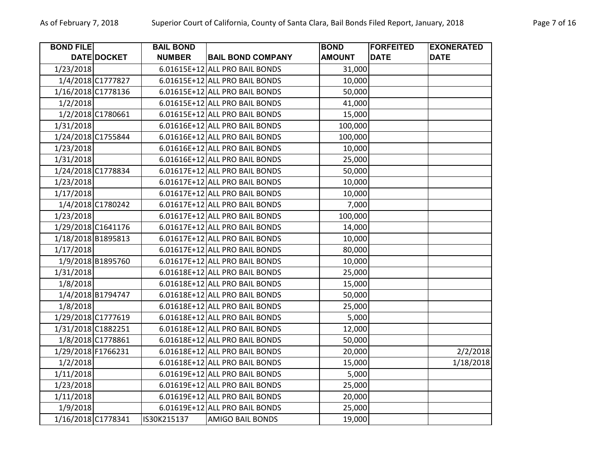| <b>BOND FILE</b>   |                    | <b>BAIL BOND</b> |                                | <b>BOND</b>   | <b>FORFEITED</b> | <b>EXONERATED</b> |
|--------------------|--------------------|------------------|--------------------------------|---------------|------------------|-------------------|
|                    | DATE DOCKET        | <b>NUMBER</b>    | <b>BAIL BOND COMPANY</b>       | <b>AMOUNT</b> | <b>DATE</b>      | <b>DATE</b>       |
| 1/23/2018          |                    |                  | 6.01615E+12 ALL PRO BAIL BONDS | 31,000        |                  |                   |
|                    | 1/4/2018 C1777827  |                  | 6.01615E+12 ALL PRO BAIL BONDS | 10,000        |                  |                   |
|                    | 1/16/2018 C1778136 |                  | 6.01615E+12 ALL PRO BAIL BONDS | 50,000        |                  |                   |
| 1/2/2018           |                    |                  | 6.01615E+12 ALL PRO BAIL BONDS | 41,000        |                  |                   |
|                    | 1/2/2018 C1780661  |                  | 6.01615E+12 ALL PRO BAIL BONDS | 15,000        |                  |                   |
| 1/31/2018          |                    |                  | 6.01616E+12 ALL PRO BAIL BONDS | 100,000       |                  |                   |
| 1/24/2018 C1755844 |                    |                  | 6.01616E+12 ALL PRO BAIL BONDS | 100,000       |                  |                   |
| 1/23/2018          |                    |                  | 6.01616E+12 ALL PRO BAIL BONDS | 10,000        |                  |                   |
| 1/31/2018          |                    |                  | 6.01616E+12 ALL PRO BAIL BONDS | 25,000        |                  |                   |
| 1/24/2018 C1778834 |                    |                  | 6.01617E+12 ALL PRO BAIL BONDS | 50,000        |                  |                   |
| 1/23/2018          |                    |                  | 6.01617E+12 ALL PRO BAIL BONDS | 10,000        |                  |                   |
| 1/17/2018          |                    |                  | 6.01617E+12 ALL PRO BAIL BONDS | 10,000        |                  |                   |
|                    | 1/4/2018 C1780242  |                  | 6.01617E+12 ALL PRO BAIL BONDS | 7,000         |                  |                   |
| 1/23/2018          |                    |                  | 6.01617E+12 ALL PRO BAIL BONDS | 100,000       |                  |                   |
| 1/29/2018 C1641176 |                    |                  | 6.01617E+12 ALL PRO BAIL BONDS | 14,000        |                  |                   |
| 1/18/2018 B1895813 |                    |                  | 6.01617E+12 ALL PRO BAIL BONDS | 10,000        |                  |                   |
| 1/17/2018          |                    |                  | 6.01617E+12 ALL PRO BAIL BONDS | 80,000        |                  |                   |
|                    | 1/9/2018 B1895760  |                  | 6.01617E+12 ALL PRO BAIL BONDS | 10,000        |                  |                   |
| 1/31/2018          |                    |                  | 6.01618E+12 ALL PRO BAIL BONDS | 25,000        |                  |                   |
| 1/8/2018           |                    |                  | 6.01618E+12 ALL PRO BAIL BONDS | 15,000        |                  |                   |
|                    | 1/4/2018 B1794747  |                  | 6.01618E+12 ALL PRO BAIL BONDS | 50,000        |                  |                   |
| 1/8/2018           |                    |                  | 6.01618E+12 ALL PRO BAIL BONDS | 25,000        |                  |                   |
|                    | 1/29/2018 C1777619 |                  | 6.01618E+12 ALL PRO BAIL BONDS | 5,000         |                  |                   |
| 1/31/2018 C1882251 |                    |                  | 6.01618E+12 ALL PRO BAIL BONDS | 12,000        |                  |                   |
|                    | 1/8/2018 C1778861  |                  | 6.01618E+12 ALL PRO BAIL BONDS | 50,000        |                  |                   |
| 1/29/2018 F1766231 |                    |                  | 6.01618E+12 ALL PRO BAIL BONDS | 20,000        |                  | 2/2/2018          |
| 1/2/2018           |                    |                  | 6.01618E+12 ALL PRO BAIL BONDS | 15,000        |                  | 1/18/2018         |
| 1/11/2018          |                    |                  | 6.01619E+12 ALL PRO BAIL BONDS | 5,000         |                  |                   |
| 1/23/2018          |                    |                  | 6.01619E+12 ALL PRO BAIL BONDS | 25,000        |                  |                   |
| 1/11/2018          |                    |                  | 6.01619E+12 ALL PRO BAIL BONDS | 20,000        |                  |                   |
| 1/9/2018           |                    |                  | 6.01619E+12 ALL PRO BAIL BONDS | 25,000        |                  |                   |
| 1/16/2018 C1778341 |                    | IS30K215137      | <b>AMIGO BAIL BONDS</b>        | 19,000        |                  |                   |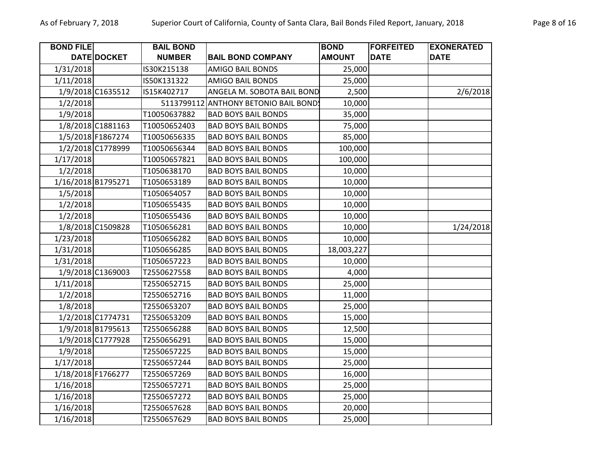| Page 8 of 16 |  |  |
|--------------|--|--|
|--------------|--|--|

| <b>BOND FILE</b> |                    | <b>BAIL BOND</b> |                                   | <b>BOND</b>   | <b>FORFEITED</b> | <b>EXONERATED</b> |
|------------------|--------------------|------------------|-----------------------------------|---------------|------------------|-------------------|
|                  | DATE DOCKET        | <b>NUMBER</b>    | <b>BAIL BOND COMPANY</b>          | <b>AMOUNT</b> | <b>DATE</b>      | <b>DATE</b>       |
| 1/31/2018        |                    | IS30K215138      | <b>AMIGO BAIL BONDS</b>           | 25,000        |                  |                   |
| 1/11/2018        |                    | IS50K131322      | <b>AMIGO BAIL BONDS</b>           | 25,000        |                  |                   |
|                  | 1/9/2018 C1635512  | IS15K402717      | ANGELA M. SOBOTA BAIL BOND        | 2,500         |                  | 2/6/2018          |
| 1/2/2018         |                    | 5113799112       | <b>ANTHONY BETONIO BAIL BONDS</b> | 10,000        |                  |                   |
| 1/9/2018         |                    | T10050637882     | <b>BAD BOYS BAIL BONDS</b>        | 35,000        |                  |                   |
|                  | 1/8/2018 C1881163  | T10050652403     | <b>BAD BOYS BAIL BONDS</b>        | 75,000        |                  |                   |
|                  | 1/5/2018 F1867274  | T10050656335     | <b>BAD BOYS BAIL BONDS</b>        | 85,000        |                  |                   |
|                  | 1/2/2018 C1778999  | T10050656344     | <b>BAD BOYS BAIL BONDS</b>        | 100,000       |                  |                   |
| 1/17/2018        |                    | T10050657821     | <b>BAD BOYS BAIL BONDS</b>        | 100,000       |                  |                   |
| 1/2/2018         |                    | T1050638170      | <b>BAD BOYS BAIL BONDS</b>        | 10,000        |                  |                   |
|                  | 1/16/2018 B1795271 | T1050653189      | <b>BAD BOYS BAIL BONDS</b>        | 10,000        |                  |                   |
| 1/5/2018         |                    | T1050654057      | <b>BAD BOYS BAIL BONDS</b>        | 10,000        |                  |                   |
| 1/2/2018         |                    | T1050655435      | <b>BAD BOYS BAIL BONDS</b>        | 10,000        |                  |                   |
| 1/2/2018         |                    | T1050655436      | <b>BAD BOYS BAIL BONDS</b>        | 10,000        |                  |                   |
|                  | 1/8/2018 C1509828  | T1050656281      | <b>BAD BOYS BAIL BONDS</b>        | 10,000        |                  | 1/24/2018         |
| 1/23/2018        |                    | T1050656282      | <b>BAD BOYS BAIL BONDS</b>        | 10,000        |                  |                   |
| 1/31/2018        |                    | T1050656285      | <b>BAD BOYS BAIL BONDS</b>        | 18,003,227    |                  |                   |
| 1/31/2018        |                    | T1050657223      | <b>BAD BOYS BAIL BONDS</b>        | 10,000        |                  |                   |
|                  | 1/9/2018 C1369003  | T2550627558      | <b>BAD BOYS BAIL BONDS</b>        | 4,000         |                  |                   |
| 1/11/2018        |                    | T2550652715      | <b>BAD BOYS BAIL BONDS</b>        | 25,000        |                  |                   |
| 1/2/2018         |                    | T2550652716      | <b>BAD BOYS BAIL BONDS</b>        | 11,000        |                  |                   |
| 1/8/2018         |                    | T2550653207      | <b>BAD BOYS BAIL BONDS</b>        | 25,000        |                  |                   |
|                  | 1/2/2018 C1774731  | T2550653209      | <b>BAD BOYS BAIL BONDS</b>        | 15,000        |                  |                   |
|                  | 1/9/2018 B1795613  | T2550656288      | <b>BAD BOYS BAIL BONDS</b>        | 12,500        |                  |                   |
|                  | 1/9/2018 C1777928  | T2550656291      | <b>BAD BOYS BAIL BONDS</b>        | 15,000        |                  |                   |
| 1/9/2018         |                    | T2550657225      | <b>BAD BOYS BAIL BONDS</b>        | 15,000        |                  |                   |
| 1/17/2018        |                    | T2550657244      | <b>BAD BOYS BAIL BONDS</b>        | 25,000        |                  |                   |
|                  | 1/18/2018 F1766277 | T2550657269      | <b>BAD BOYS BAIL BONDS</b>        | 16,000        |                  |                   |
| 1/16/2018        |                    | T2550657271      | <b>BAD BOYS BAIL BONDS</b>        | 25,000        |                  |                   |
| 1/16/2018        |                    | T2550657272      | <b>BAD BOYS BAIL BONDS</b>        | 25,000        |                  |                   |
| 1/16/2018        |                    | T2550657628      | <b>BAD BOYS BAIL BONDS</b>        | 20,000        |                  |                   |
| 1/16/2018        |                    | T2550657629      | <b>BAD BOYS BAIL BONDS</b>        | 25,000        |                  |                   |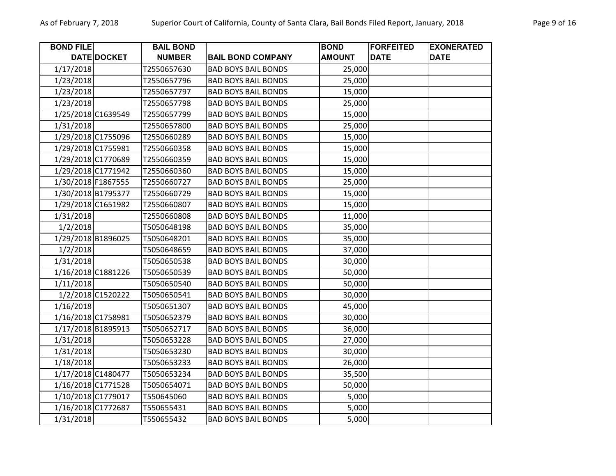| <b>BOND FILE</b>   | <b>DATE DOCKET</b> | <b>BAIL BOND</b> |                            | <b>BOND</b>   | <b>FORFEITED</b><br><b>DATE</b> | <b>EXONERATED</b><br><b>DATE</b> |
|--------------------|--------------------|------------------|----------------------------|---------------|---------------------------------|----------------------------------|
|                    |                    | <b>NUMBER</b>    | <b>BAIL BOND COMPANY</b>   | <b>AMOUNT</b> |                                 |                                  |
| 1/17/2018          |                    | T2550657630      | <b>BAD BOYS BAIL BONDS</b> | 25,000        |                                 |                                  |
| 1/23/2018          |                    | T2550657796      | <b>BAD BOYS BAIL BONDS</b> | 25,000        |                                 |                                  |
| 1/23/2018          |                    | T2550657797      | <b>BAD BOYS BAIL BONDS</b> | 15,000        |                                 |                                  |
| 1/23/2018          |                    | T2550657798      | <b>BAD BOYS BAIL BONDS</b> | 25,000        |                                 |                                  |
| 1/25/2018 C1639549 |                    | T2550657799      | <b>BAD BOYS BAIL BONDS</b> | 15,000        |                                 |                                  |
| 1/31/2018          |                    | T2550657800      | <b>BAD BOYS BAIL BONDS</b> | 25,000        |                                 |                                  |
| 1/29/2018 C1755096 |                    | T2550660289      | <b>BAD BOYS BAIL BONDS</b> | 15,000        |                                 |                                  |
| 1/29/2018 C1755981 |                    | T2550660358      | <b>BAD BOYS BAIL BONDS</b> | 15,000        |                                 |                                  |
| 1/29/2018 C1770689 |                    | T2550660359      | <b>BAD BOYS BAIL BONDS</b> | 15,000        |                                 |                                  |
| 1/29/2018 C1771942 |                    | T2550660360      | <b>BAD BOYS BAIL BONDS</b> | 15,000        |                                 |                                  |
| 1/30/2018 F1867555 |                    | T2550660727      | <b>BAD BOYS BAIL BONDS</b> | 25,000        |                                 |                                  |
| 1/30/2018 B1795377 |                    | T2550660729      | <b>BAD BOYS BAIL BONDS</b> | 15,000        |                                 |                                  |
| 1/29/2018 C1651982 |                    | T2550660807      | <b>BAD BOYS BAIL BONDS</b> | 15,000        |                                 |                                  |
| 1/31/2018          |                    | T2550660808      | <b>BAD BOYS BAIL BONDS</b> | 11,000        |                                 |                                  |
| 1/2/2018           |                    | T5050648198      | <b>BAD BOYS BAIL BONDS</b> | 35,000        |                                 |                                  |
| 1/29/2018 B1896025 |                    | T5050648201      | <b>BAD BOYS BAIL BONDS</b> | 35,000        |                                 |                                  |
| 1/2/2018           |                    | T5050648659      | <b>BAD BOYS BAIL BONDS</b> | 37,000        |                                 |                                  |
| 1/31/2018          |                    | T5050650538      | <b>BAD BOYS BAIL BONDS</b> | 30,000        |                                 |                                  |
| 1/16/2018 C1881226 |                    | T5050650539      | <b>BAD BOYS BAIL BONDS</b> | 50,000        |                                 |                                  |
| 1/11/2018          |                    | T5050650540      | <b>BAD BOYS BAIL BONDS</b> | 50,000        |                                 |                                  |
|                    | 1/2/2018 C1520222  | T5050650541      | <b>BAD BOYS BAIL BONDS</b> | 30,000        |                                 |                                  |
| 1/16/2018          |                    | T5050651307      | <b>BAD BOYS BAIL BONDS</b> | 45,000        |                                 |                                  |
| 1/16/2018 C1758981 |                    | T5050652379      | <b>BAD BOYS BAIL BONDS</b> | 30,000        |                                 |                                  |
| 1/17/2018 B1895913 |                    | T5050652717      | <b>BAD BOYS BAIL BONDS</b> | 36,000        |                                 |                                  |
| 1/31/2018          |                    | T5050653228      | <b>BAD BOYS BAIL BONDS</b> | 27,000        |                                 |                                  |
| 1/31/2018          |                    | T5050653230      | <b>BAD BOYS BAIL BONDS</b> | 30,000        |                                 |                                  |
| 1/18/2018          |                    | T5050653233      | <b>BAD BOYS BAIL BONDS</b> | 26,000        |                                 |                                  |
| 1/17/2018 C1480477 |                    | T5050653234      | <b>BAD BOYS BAIL BONDS</b> | 35,500        |                                 |                                  |
| 1/16/2018 C1771528 |                    | T5050654071      | <b>BAD BOYS BAIL BONDS</b> | 50,000        |                                 |                                  |
| 1/10/2018 C1779017 |                    | T550645060       | <b>BAD BOYS BAIL BONDS</b> | 5,000         |                                 |                                  |
| 1/16/2018 C1772687 |                    | T550655431       | <b>BAD BOYS BAIL BONDS</b> | 5,000         |                                 |                                  |
| 1/31/2018          |                    | T550655432       | <b>BAD BOYS BAIL BONDS</b> | 5,000         |                                 |                                  |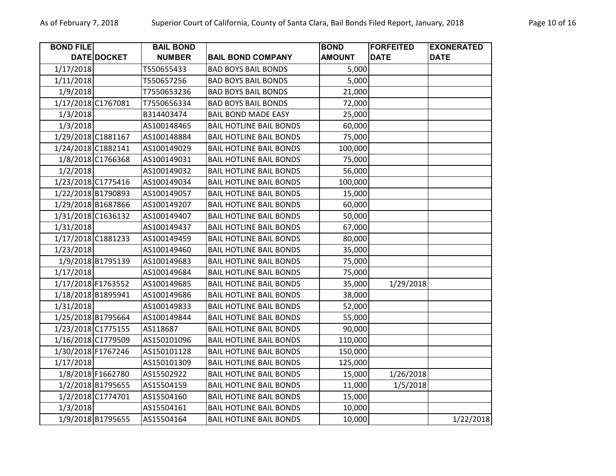| <b>BOND FILE</b> |                    | <b>BAIL BOND</b> |                                | <b>BOND</b>   | <b>FORFEITED</b> | <b>EXONERATED</b> |
|------------------|--------------------|------------------|--------------------------------|---------------|------------------|-------------------|
|                  | DATE DOCKET        | <b>NUMBER</b>    | <b>BAIL BOND COMPANY</b>       | <b>AMOUNT</b> | <b>DATE</b>      | <b>DATE</b>       |
| 1/17/2018        |                    | T550655433       | <b>BAD BOYS BAIL BONDS</b>     | 5,000         |                  |                   |
| 1/11/2018        |                    | T550657256       | <b>BAD BOYS BAIL BONDS</b>     | 5,000         |                  |                   |
| 1/9/2018         |                    | T7550653236      | <b>BAD BOYS BAIL BONDS</b>     | 21,000        |                  |                   |
|                  | 1/17/2018 C1767081 | T7550656334      | <b>BAD BOYS BAIL BONDS</b>     | 72,000        |                  |                   |
| 1/3/2018         |                    | B314403474       | <b>BAIL BOND MADE EASY</b>     | 25,000        |                  |                   |
| 1/3/2018         |                    | AS100148465      | <b>BAIL HOTLINE BAIL BONDS</b> | 60,000        |                  |                   |
|                  | 1/29/2018 C1881167 | AS100148884      | <b>BAIL HOTLINE BAIL BONDS</b> | 75,000        |                  |                   |
|                  | 1/24/2018 C1882141 | AS100149029      | <b>BAIL HOTLINE BAIL BONDS</b> | 100,000       |                  |                   |
|                  | 1/8/2018 C1766368  | AS100149031      | <b>BAIL HOTLINE BAIL BONDS</b> | 75,000        |                  |                   |
| 1/2/2018         |                    | AS100149032      | <b>BAIL HOTLINE BAIL BONDS</b> | 56,000        |                  |                   |
|                  | 1/23/2018 C1775416 | AS100149034      | <b>BAIL HOTLINE BAIL BONDS</b> | 100,000       |                  |                   |
|                  | 1/22/2018 B1790893 | AS100149057      | <b>BAIL HOTLINE BAIL BONDS</b> | 15,000        |                  |                   |
|                  | 1/29/2018 B1687866 | AS100149207      | <b>BAIL HOTLINE BAIL BONDS</b> | 60,000        |                  |                   |
|                  | 1/31/2018 C1636132 | AS100149407      | <b>BAIL HOTLINE BAIL BONDS</b> | 50,000        |                  |                   |
| 1/31/2018        |                    | AS100149437      | <b>BAIL HOTLINE BAIL BONDS</b> | 67,000        |                  |                   |
|                  | 1/17/2018 C1881233 | AS100149459      | <b>BAIL HOTLINE BAIL BONDS</b> | 80,000        |                  |                   |
| 1/23/2018        |                    | AS100149460      | <b>BAIL HOTLINE BAIL BONDS</b> | 35,000        |                  |                   |
|                  | 1/9/2018 B1795139  | AS100149683      | <b>BAIL HOTLINE BAIL BONDS</b> | 75,000        |                  |                   |
| 1/17/2018        |                    | AS100149684      | <b>BAIL HOTLINE BAIL BONDS</b> | 75,000        |                  |                   |
|                  | 1/17/2018 F1763552 | AS100149685      | <b>BAIL HOTLINE BAIL BONDS</b> | 35,000        | 1/29/2018        |                   |
|                  | 1/18/2018 B1895941 | AS100149686      | <b>BAIL HOTLINE BAIL BONDS</b> | 38,000        |                  |                   |
| 1/31/2018        |                    | AS100149833      | <b>BAIL HOTLINE BAIL BONDS</b> | 52,000        |                  |                   |
|                  | 1/25/2018 B1795664 | AS100149844      | <b>BAIL HOTLINE BAIL BONDS</b> | 55,000        |                  |                   |
|                  | 1/23/2018 C1775155 | AS118687         | <b>BAIL HOTLINE BAIL BONDS</b> | 90,000        |                  |                   |
|                  | 1/16/2018 C1779509 | AS150101096      | <b>BAIL HOTLINE BAIL BONDS</b> | 110,000       |                  |                   |
|                  | 1/30/2018 F1767246 | AS150101128      | <b>BAIL HOTLINE BAIL BONDS</b> | 150,000       |                  |                   |
| 1/17/2018        |                    | AS150101309      | <b>BAIL HOTLINE BAIL BONDS</b> | 125,000       |                  |                   |
|                  | 1/8/2018 F1662780  | AS15502922       | <b>BAIL HOTLINE BAIL BONDS</b> | 15,000        | 1/26/2018        |                   |
|                  | 1/2/2018 B1795655  | AS15504159       | <b>BAIL HOTLINE BAIL BONDS</b> | 11,000        | 1/5/2018         |                   |
|                  | 1/2/2018 C1774701  | AS15504160       | <b>BAIL HOTLINE BAIL BONDS</b> | 15,000        |                  |                   |
| 1/3/2018         |                    | AS15504161       | <b>BAIL HOTLINE BAIL BONDS</b> | 10,000        |                  |                   |
|                  | 1/9/2018 B1795655  | AS15504164       | <b>BAIL HOTLINE BAIL BONDS</b> | 10,000        |                  | 1/22/2018         |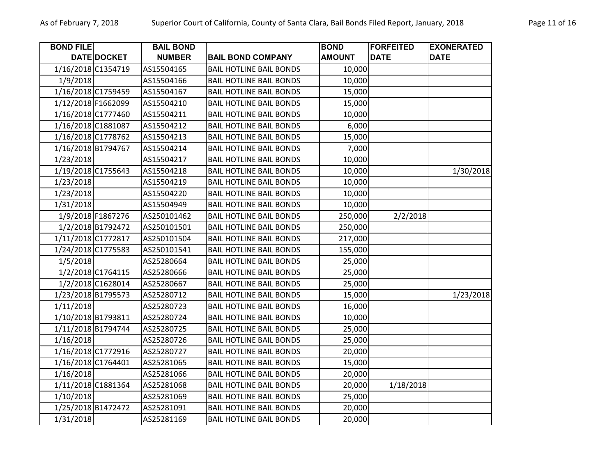| <b>BOND FILE</b>   |                    | <b>BAIL BOND</b> |                                | <b>BOND</b>   | <b>FORFEITED</b> | <b>EXONERATED</b> |
|--------------------|--------------------|------------------|--------------------------------|---------------|------------------|-------------------|
|                    | DATE DOCKET        | <b>NUMBER</b>    | <b>BAIL BOND COMPANY</b>       | <b>AMOUNT</b> | <b>DATE</b>      | <b>DATE</b>       |
| 1/16/2018 C1354719 |                    | AS15504165       | <b>BAIL HOTLINE BAIL BONDS</b> | 10,000        |                  |                   |
| 1/9/2018           |                    | AS15504166       | <b>BAIL HOTLINE BAIL BONDS</b> | 10,000        |                  |                   |
| 1/16/2018 C1759459 |                    | AS15504167       | <b>BAIL HOTLINE BAIL BONDS</b> | 15,000        |                  |                   |
| 1/12/2018 F1662099 |                    | AS15504210       | <b>BAIL HOTLINE BAIL BONDS</b> | 15,000        |                  |                   |
|                    | 1/16/2018 C1777460 | AS15504211       | <b>BAIL HOTLINE BAIL BONDS</b> | 10,000        |                  |                   |
| 1/16/2018 C1881087 |                    | AS15504212       | <b>BAIL HOTLINE BAIL BONDS</b> | 6,000         |                  |                   |
|                    | 1/16/2018 C1778762 | AS15504213       | <b>BAIL HOTLINE BAIL BONDS</b> | 15,000        |                  |                   |
| 1/16/2018 B1794767 |                    | AS15504214       | <b>BAIL HOTLINE BAIL BONDS</b> | 7,000         |                  |                   |
| 1/23/2018          |                    | AS15504217       | <b>BAIL HOTLINE BAIL BONDS</b> | 10,000        |                  |                   |
| 1/19/2018 C1755643 |                    | AS15504218       | <b>BAIL HOTLINE BAIL BONDS</b> | 10,000        |                  | 1/30/2018         |
| 1/23/2018          |                    | AS15504219       | <b>BAIL HOTLINE BAIL BONDS</b> | 10,000        |                  |                   |
| 1/23/2018          |                    | AS15504220       | <b>BAIL HOTLINE BAIL BONDS</b> | 10,000        |                  |                   |
| 1/31/2018          |                    | AS15504949       | <b>BAIL HOTLINE BAIL BONDS</b> | 10,000        |                  |                   |
|                    | 1/9/2018 F1867276  | AS250101462      | <b>BAIL HOTLINE BAIL BONDS</b> | 250,000       | 2/2/2018         |                   |
|                    | 1/2/2018 B1792472  | AS250101501      | <b>BAIL HOTLINE BAIL BONDS</b> | 250,000       |                  |                   |
| 1/11/2018 C1772817 |                    | AS250101504      | <b>BAIL HOTLINE BAIL BONDS</b> | 217,000       |                  |                   |
| 1/24/2018 C1775583 |                    | AS250101541      | <b>BAIL HOTLINE BAIL BONDS</b> | 155,000       |                  |                   |
| 1/5/2018           |                    | AS25280664       | <b>BAIL HOTLINE BAIL BONDS</b> | 25,000        |                  |                   |
|                    | 1/2/2018 C1764115  | AS25280666       | <b>BAIL HOTLINE BAIL BONDS</b> | 25,000        |                  |                   |
|                    | 1/2/2018 C1628014  | AS25280667       | <b>BAIL HOTLINE BAIL BONDS</b> | 25,000        |                  |                   |
| 1/23/2018 B1795573 |                    | AS25280712       | <b>BAIL HOTLINE BAIL BONDS</b> | 15,000        |                  | 1/23/2018         |
| 1/11/2018          |                    | AS25280723       | <b>BAIL HOTLINE BAIL BONDS</b> | 16,000        |                  |                   |
| 1/10/2018 B1793811 |                    | AS25280724       | <b>BAIL HOTLINE BAIL BONDS</b> | 10,000        |                  |                   |
| 1/11/2018 B1794744 |                    | AS25280725       | <b>BAIL HOTLINE BAIL BONDS</b> | 25,000        |                  |                   |
| 1/16/2018          |                    | AS25280726       | <b>BAIL HOTLINE BAIL BONDS</b> | 25,000        |                  |                   |
| 1/16/2018 C1772916 |                    | AS25280727       | <b>BAIL HOTLINE BAIL BONDS</b> | 20,000        |                  |                   |
| 1/16/2018 C1764401 |                    | AS25281065       | <b>BAIL HOTLINE BAIL BONDS</b> | 15,000        |                  |                   |
| 1/16/2018          |                    | AS25281066       | <b>BAIL HOTLINE BAIL BONDS</b> | 20,000        |                  |                   |
| 1/11/2018 C1881364 |                    | AS25281068       | <b>BAIL HOTLINE BAIL BONDS</b> | 20,000        | 1/18/2018        |                   |
| 1/10/2018          |                    | AS25281069       | <b>BAIL HOTLINE BAIL BONDS</b> | 25,000        |                  |                   |
|                    | 1/25/2018 B1472472 | AS25281091       | <b>BAIL HOTLINE BAIL BONDS</b> | 20,000        |                  |                   |
| 1/31/2018          |                    | AS25281169       | <b>BAIL HOTLINE BAIL BONDS</b> | 20,000        |                  |                   |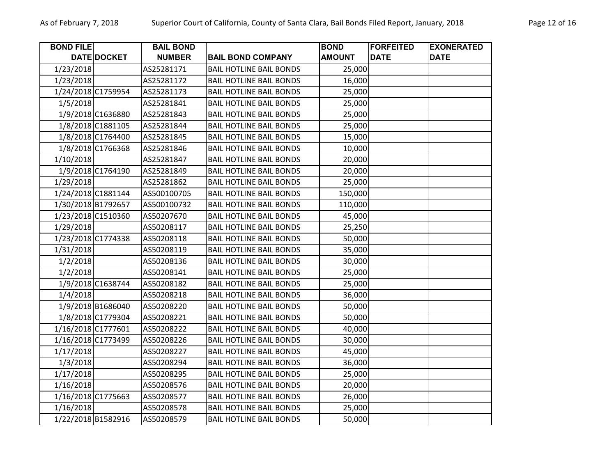| <b>BOND FILE</b> |                    | <b>BAIL BOND</b> |                                | <b>BOND</b>   | <b>FORFEITED</b> | <b>EXONERATED</b> |
|------------------|--------------------|------------------|--------------------------------|---------------|------------------|-------------------|
|                  | DATE DOCKET        | <b>NUMBER</b>    | <b>BAIL BOND COMPANY</b>       | <b>AMOUNT</b> | <b>DATE</b>      | <b>DATE</b>       |
| 1/23/2018        |                    | AS25281171       | <b>BAIL HOTLINE BAIL BONDS</b> | 25,000        |                  |                   |
| 1/23/2018        |                    | AS25281172       | <b>BAIL HOTLINE BAIL BONDS</b> | 16,000        |                  |                   |
|                  | 1/24/2018 C1759954 | AS25281173       | <b>BAIL HOTLINE BAIL BONDS</b> | 25,000        |                  |                   |
| 1/5/2018         |                    | AS25281841       | <b>BAIL HOTLINE BAIL BONDS</b> | 25,000        |                  |                   |
|                  | 1/9/2018 C1636880  | AS25281843       | <b>BAIL HOTLINE BAIL BONDS</b> | 25,000        |                  |                   |
|                  | 1/8/2018 C1881105  | AS25281844       | <b>BAIL HOTLINE BAIL BONDS</b> | 25,000        |                  |                   |
|                  | 1/8/2018 C1764400  | AS25281845       | <b>BAIL HOTLINE BAIL BONDS</b> | 15,000        |                  |                   |
|                  | 1/8/2018 C1766368  | AS25281846       | <b>BAIL HOTLINE BAIL BONDS</b> | 10,000        |                  |                   |
| 1/10/2018        |                    | AS25281847       | <b>BAIL HOTLINE BAIL BONDS</b> | 20,000        |                  |                   |
|                  | 1/9/2018 C1764190  | AS25281849       | <b>BAIL HOTLINE BAIL BONDS</b> | 20,000        |                  |                   |
| 1/29/2018        |                    | AS25281862       | <b>BAIL HOTLINE BAIL BONDS</b> | 25,000        |                  |                   |
|                  | 1/24/2018 C1881144 | AS500100705      | <b>BAIL HOTLINE BAIL BONDS</b> | 150,000       |                  |                   |
|                  | 1/30/2018 B1792657 | AS500100732      | <b>BAIL HOTLINE BAIL BONDS</b> | 110,000       |                  |                   |
|                  | 1/23/2018 C1510360 | AS50207670       | <b>BAIL HOTLINE BAIL BONDS</b> | 45,000        |                  |                   |
| 1/29/2018        |                    | AS50208117       | <b>BAIL HOTLINE BAIL BONDS</b> | 25,250        |                  |                   |
|                  | 1/23/2018 C1774338 | AS50208118       | <b>BAIL HOTLINE BAIL BONDS</b> | 50,000        |                  |                   |
| 1/31/2018        |                    | AS50208119       | <b>BAIL HOTLINE BAIL BONDS</b> | 35,000        |                  |                   |
| 1/2/2018         |                    | AS50208136       | <b>BAIL HOTLINE BAIL BONDS</b> | 30,000        |                  |                   |
| 1/2/2018         |                    | AS50208141       | <b>BAIL HOTLINE BAIL BONDS</b> | 25,000        |                  |                   |
|                  | 1/9/2018 C1638744  | AS50208182       | <b>BAIL HOTLINE BAIL BONDS</b> | 25,000        |                  |                   |
| 1/4/2018         |                    | AS50208218       | <b>BAIL HOTLINE BAIL BONDS</b> | 36,000        |                  |                   |
|                  | 1/9/2018 B1686040  | AS50208220       | <b>BAIL HOTLINE BAIL BONDS</b> | 50,000        |                  |                   |
|                  | 1/8/2018 C1779304  | AS50208221       | <b>BAIL HOTLINE BAIL BONDS</b> | 50,000        |                  |                   |
|                  | 1/16/2018 C1777601 | AS50208222       | <b>BAIL HOTLINE BAIL BONDS</b> | 40,000        |                  |                   |
|                  | 1/16/2018 C1773499 | AS50208226       | <b>BAIL HOTLINE BAIL BONDS</b> | 30,000        |                  |                   |
| 1/17/2018        |                    | AS50208227       | <b>BAIL HOTLINE BAIL BONDS</b> | 45,000        |                  |                   |
| 1/3/2018         |                    | AS50208294       | <b>BAIL HOTLINE BAIL BONDS</b> | 36,000        |                  |                   |
| 1/17/2018        |                    | AS50208295       | <b>BAIL HOTLINE BAIL BONDS</b> | 25,000        |                  |                   |
| 1/16/2018        |                    | AS50208576       | <b>BAIL HOTLINE BAIL BONDS</b> | 20,000        |                  |                   |
|                  | 1/16/2018 C1775663 | AS50208577       | <b>BAIL HOTLINE BAIL BONDS</b> | 26,000        |                  |                   |
| 1/16/2018        |                    | AS50208578       | <b>BAIL HOTLINE BAIL BONDS</b> | 25,000        |                  |                   |
|                  | 1/22/2018 B1582916 | AS50208579       | <b>BAIL HOTLINE BAIL BONDS</b> | 50,000        |                  |                   |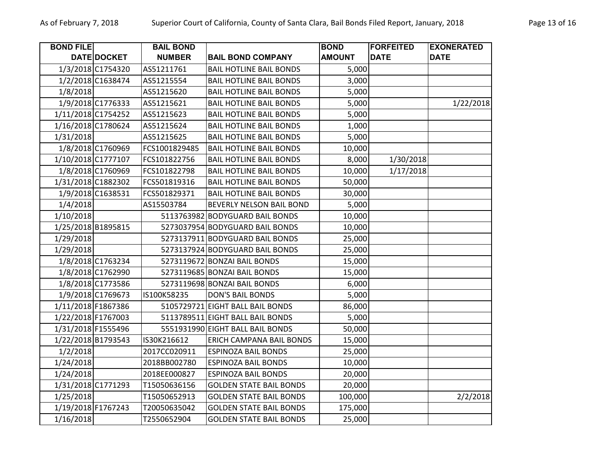| <b>BOND FILE</b> |                    | <b>BAIL BOND</b> |                                  | <b>BOND</b>   | <b>FORFEITED</b> | <b>EXONERATED</b> |
|------------------|--------------------|------------------|----------------------------------|---------------|------------------|-------------------|
|                  | DATE DOCKET        | <b>NUMBER</b>    | <b>BAIL BOND COMPANY</b>         | <b>AMOUNT</b> | <b>DATE</b>      | <b>DATE</b>       |
|                  | 1/3/2018 C1754320  | AS51211761       | <b>BAIL HOTLINE BAIL BONDS</b>   | 5,000         |                  |                   |
|                  | 1/2/2018 C1638474  | AS51215554       | <b>BAIL HOTLINE BAIL BONDS</b>   | 3,000         |                  |                   |
| 1/8/2018         |                    | AS51215620       | <b>BAIL HOTLINE BAIL BONDS</b>   | 5,000         |                  |                   |
|                  | 1/9/2018 C1776333  | AS51215621       | <b>BAIL HOTLINE BAIL BONDS</b>   | 5,000         |                  | 1/22/2018         |
|                  | 1/11/2018 C1754252 | AS51215623       | <b>BAIL HOTLINE BAIL BONDS</b>   | 5,000         |                  |                   |
|                  | 1/16/2018 C1780624 | AS51215624       | <b>BAIL HOTLINE BAIL BONDS</b>   | 1,000         |                  |                   |
| 1/31/2018        |                    | AS51215625       | <b>BAIL HOTLINE BAIL BONDS</b>   | 5,000         |                  |                   |
|                  | 1/8/2018 C1760969  | FCS1001829485    | <b>BAIL HOTLINE BAIL BONDS</b>   | 10,000        |                  |                   |
|                  | 1/10/2018 C1777107 | FCS101822756     | <b>BAIL HOTLINE BAIL BONDS</b>   | 8,000         | 1/30/2018        |                   |
|                  | 1/8/2018 C1760969  | FCS101822798     | <b>BAIL HOTLINE BAIL BONDS</b>   | 10,000        | 1/17/2018        |                   |
|                  | 1/31/2018 C1882302 | FCS501819316     | <b>BAIL HOTLINE BAIL BONDS</b>   | 50,000        |                  |                   |
|                  | 1/9/2018 C1638531  | FCS501829371     | <b>BAIL HOTLINE BAIL BONDS</b>   | 30,000        |                  |                   |
| 1/4/2018         |                    | AS15503784       | BEVERLY NELSON BAIL BOND         | 5,000         |                  |                   |
| 1/10/2018        |                    |                  | 5113763982 BODYGUARD BAIL BONDS  | 10,000        |                  |                   |
|                  | 1/25/2018 B1895815 |                  | 5273037954 BODYGUARD BAIL BONDS  | 10,000        |                  |                   |
| 1/29/2018        |                    |                  | 5273137911 BODYGUARD BAIL BONDS  | 25,000        |                  |                   |
| 1/29/2018        |                    |                  | 5273137924 BODYGUARD BAIL BONDS  | 25,000        |                  |                   |
|                  | 1/8/2018 C1763234  |                  | 5273119672 BONZAI BAIL BONDS     | 15,000        |                  |                   |
|                  | 1/8/2018 C1762990  |                  | 5273119685 BONZAI BAIL BONDS     | 15,000        |                  |                   |
|                  | 1/8/2018 C1773586  |                  | 5273119698 BONZAI BAIL BONDS     | 6,000         |                  |                   |
|                  | 1/9/2018 C1769673  | IS100K58235      | <b>DON'S BAIL BONDS</b>          | 5,000         |                  |                   |
|                  | 1/11/2018 F1867386 |                  | 5105729721 EIGHT BALL BAIL BONDS | 86,000        |                  |                   |
|                  | 1/22/2018 F1767003 |                  | 5113789511 EIGHT BALL BAIL BONDS | 5,000         |                  |                   |
|                  | 1/31/2018 F1555496 |                  | 5551931990 EIGHT BALL BAIL BONDS | 50,000        |                  |                   |
|                  | 1/22/2018 B1793543 | IS30K216612      | <b>ERICH CAMPANA BAIL BONDS</b>  | 15,000        |                  |                   |
| 1/2/2018         |                    | 2017CC020911     | <b>ESPINOZA BAIL BONDS</b>       | 25,000        |                  |                   |
| 1/24/2018        |                    | 2018BB002780     | <b>ESPINOZA BAIL BONDS</b>       | 10,000        |                  |                   |
| 1/24/2018        |                    | 2018EE000827     | <b>ESPINOZA BAIL BONDS</b>       | 20,000        |                  |                   |
|                  | 1/31/2018 C1771293 | T15050636156     | <b>GOLDEN STATE BAIL BONDS</b>   | 20,000        |                  |                   |
| 1/25/2018        |                    | T15050652913     | <b>GOLDEN STATE BAIL BONDS</b>   | 100,000       |                  | 2/2/2018          |
|                  | 1/19/2018 F1767243 | T20050635042     | <b>GOLDEN STATE BAIL BONDS</b>   | 175,000       |                  |                   |
| 1/16/2018        |                    | T2550652904      | <b>GOLDEN STATE BAIL BONDS</b>   | 25,000        |                  |                   |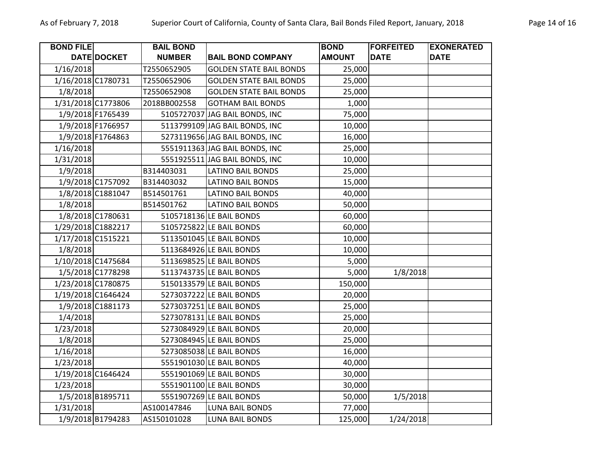| <b>BOND FILE</b>   |                    | <b>BAIL BOND</b> |                                | <b>BOND</b>   | <b>FORFEITED</b> | <b>EXONERATED</b> |
|--------------------|--------------------|------------------|--------------------------------|---------------|------------------|-------------------|
|                    | DATE DOCKET        | <b>NUMBER</b>    | <b>BAIL BOND COMPANY</b>       | <b>AMOUNT</b> | <b>DATE</b>      | <b>DATE</b>       |
| 1/16/2018          |                    | T2550652905      | <b>GOLDEN STATE BAIL BONDS</b> | 25,000        |                  |                   |
| 1/16/2018 C1780731 |                    | T2550652906      | <b>GOLDEN STATE BAIL BONDS</b> | 25,000        |                  |                   |
| 1/8/2018           |                    | T2550652908      | <b>GOLDEN STATE BAIL BONDS</b> | 25,000        |                  |                   |
|                    | 1/31/2018 C1773806 | 2018BB002558     | <b>GOTHAM BAIL BONDS</b>       | 1,000         |                  |                   |
|                    | 1/9/2018 F1765439  |                  | 5105727037 JAG BAIL BONDS, INC | 75,000        |                  |                   |
|                    | 1/9/2018 F1766957  |                  | 5113799109 JAG BAIL BONDS, INC | 10,000        |                  |                   |
|                    | 1/9/2018 F1764863  |                  | 5273119656 JAG BAIL BONDS, INC | 16,000        |                  |                   |
| 1/16/2018          |                    |                  | 5551911363 JAG BAIL BONDS, INC | 25,000        |                  |                   |
| 1/31/2018          |                    |                  | 5551925511 JAG BAIL BONDS, INC | 10,000        |                  |                   |
| 1/9/2018           |                    | B314403031       | <b>LATINO BAIL BONDS</b>       | 25,000        |                  |                   |
|                    | 1/9/2018 C1757092  | B314403032       | <b>LATINO BAIL BONDS</b>       | 15,000        |                  |                   |
|                    | 1/8/2018 C1881047  | B514501761       | <b>LATINO BAIL BONDS</b>       | 40,000        |                  |                   |
| 1/8/2018           |                    | B514501762       | <b>LATINO BAIL BONDS</b>       | 50,000        |                  |                   |
|                    | 1/8/2018 C1780631  |                  | 5105718136 LE BAIL BONDS       | 60,000        |                  |                   |
|                    | 1/29/2018 C1882217 |                  | 5105725822 LE BAIL BONDS       | 60,000        |                  |                   |
|                    | 1/17/2018 C1515221 |                  | 5113501045 LE BAIL BONDS       | 10,000        |                  |                   |
| 1/8/2018           |                    |                  | 5113684926 LE BAIL BONDS       | 10,000        |                  |                   |
|                    | 1/10/2018 C1475684 |                  | 5113698525 LE BAIL BONDS       | 5,000         |                  |                   |
|                    | 1/5/2018 C1778298  |                  | 5113743735 LE BAIL BONDS       | 5,000         | 1/8/2018         |                   |
|                    | 1/23/2018 C1780875 |                  | 5150133579 LE BAIL BONDS       | 150,000       |                  |                   |
|                    | 1/19/2018 C1646424 |                  | 5273037222 LE BAIL BONDS       | 20,000        |                  |                   |
|                    | 1/9/2018 C1881173  |                  | 5273037251 LE BAIL BONDS       | 25,000        |                  |                   |
| 1/4/2018           |                    |                  | 5273078131 LE BAIL BONDS       | 25,000        |                  |                   |
| 1/23/2018          |                    |                  | 5273084929 LE BAIL BONDS       | 20,000        |                  |                   |
| 1/8/2018           |                    |                  | 5273084945 LE BAIL BONDS       | 25,000        |                  |                   |
| 1/16/2018          |                    |                  | 5273085038 LE BAIL BONDS       | 16,000        |                  |                   |
| 1/23/2018          |                    |                  | 5551901030 LE BAIL BONDS       | 40,000        |                  |                   |
|                    | 1/19/2018 C1646424 |                  | 5551901069 LE BAIL BONDS       | 30,000        |                  |                   |
| 1/23/2018          |                    |                  | 5551901100 LE BAIL BONDS       | 30,000        |                  |                   |
|                    | 1/5/2018 B1895711  |                  | 5551907269 LE BAIL BONDS       | 50,000        | 1/5/2018         |                   |
| 1/31/2018          |                    | AS100147846      | <b>LUNA BAIL BONDS</b>         | 77,000        |                  |                   |
|                    | 1/9/2018 B1794283  | AS150101028      | <b>LUNA BAIL BONDS</b>         | 125,000       | 1/24/2018        |                   |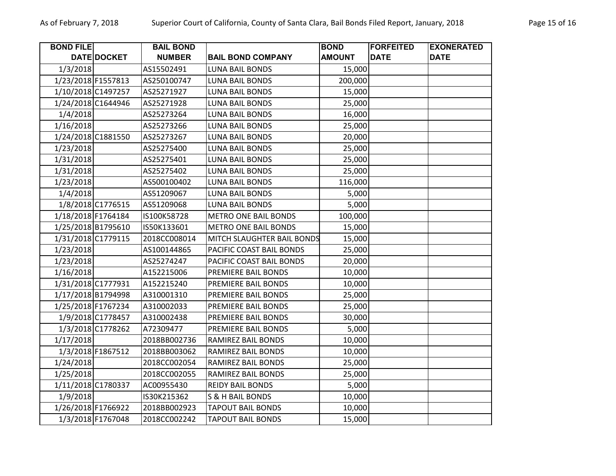| <b>BOND FILE</b>   |                    | <b>BAIL BOND</b> |                             | <b>BOND</b>   | <b>FORFEITED</b> | <b>EXONERATED</b> |
|--------------------|--------------------|------------------|-----------------------------|---------------|------------------|-------------------|
|                    | DATE DOCKET        | <b>NUMBER</b>    | <b>BAIL BOND COMPANY</b>    | <b>AMOUNT</b> | <b>DATE</b>      | <b>DATE</b>       |
| 1/3/2018           |                    | AS15502491       | <b>LUNA BAIL BONDS</b>      | 15,000        |                  |                   |
| 1/23/2018 F1557813 |                    | AS250100747      | <b>LUNA BAIL BONDS</b>      | 200,000       |                  |                   |
|                    | 1/10/2018 C1497257 | AS25271927       | <b>LUNA BAIL BONDS</b>      | 15,000        |                  |                   |
|                    | 1/24/2018 C1644946 | AS25271928       | LUNA BAIL BONDS             | 25,000        |                  |                   |
| 1/4/2018           |                    | AS25273264       | <b>LUNA BAIL BONDS</b>      | 16,000        |                  |                   |
| 1/16/2018          |                    | AS25273266       | <b>LUNA BAIL BONDS</b>      | 25,000        |                  |                   |
|                    | 1/24/2018 C1881550 | AS25273267       | <b>LUNA BAIL BONDS</b>      | 20,000        |                  |                   |
| 1/23/2018          |                    | AS25275400       | <b>LUNA BAIL BONDS</b>      | 25,000        |                  |                   |
| 1/31/2018          |                    | AS25275401       | <b>LUNA BAIL BONDS</b>      | 25,000        |                  |                   |
| 1/31/2018          |                    | AS25275402       | <b>LUNA BAIL BONDS</b>      | 25,000        |                  |                   |
| 1/23/2018          |                    | AS500100402      | <b>LUNA BAIL BONDS</b>      | 116,000       |                  |                   |
| 1/4/2018           |                    | AS51209067       | <b>LUNA BAIL BONDS</b>      | 5,000         |                  |                   |
|                    | 1/8/2018 C1776515  | AS51209068       | <b>LUNA BAIL BONDS</b>      | 5,000         |                  |                   |
| 1/18/2018 F1764184 |                    | IS100K58728      | <b>METRO ONE BAIL BONDS</b> | 100,000       |                  |                   |
|                    | 1/25/2018 B1795610 | IS50K133601      | <b>METRO ONE BAIL BONDS</b> | 15,000        |                  |                   |
|                    | 1/31/2018 C1779115 | 2018CC008014     | MITCH SLAUGHTER BAIL BONDS  | 15,000        |                  |                   |
| 1/23/2018          |                    | AS100144865      | PACIFIC COAST BAIL BONDS    | 25,000        |                  |                   |
| 1/23/2018          |                    | AS25274247       | PACIFIC COAST BAIL BONDS    | 20,000        |                  |                   |
| 1/16/2018          |                    | A152215006       | PREMIERE BAIL BONDS         | 10,000        |                  |                   |
|                    | 1/31/2018 C1777931 | A152215240       | PREMIERE BAIL BONDS         | 10,000        |                  |                   |
|                    | 1/17/2018 B1794998 | A310001310       | PREMIERE BAIL BONDS         | 25,000        |                  |                   |
|                    | 1/25/2018 F1767234 | A310002033       | PREMIERE BAIL BONDS         | 25,000        |                  |                   |
|                    | 1/9/2018 C1778457  | A310002438       | PREMIERE BAIL BONDS         | 30,000        |                  |                   |
|                    | 1/3/2018 C1778262  | A72309477        | PREMIERE BAIL BONDS         | 5,000         |                  |                   |
| 1/17/2018          |                    | 2018BB002736     | RAMIREZ BAIL BONDS          | 10,000        |                  |                   |
|                    | 1/3/2018 F1867512  | 2018BB003062     | RAMIREZ BAIL BONDS          | 10,000        |                  |                   |
| 1/24/2018          |                    | 2018CC002054     | RAMIREZ BAIL BONDS          | 25,000        |                  |                   |
| 1/25/2018          |                    | 2018CC002055     | RAMIREZ BAIL BONDS          | 25,000        |                  |                   |
|                    | 1/11/2018 C1780337 | AC00955430       | <b>REIDY BAIL BONDS</b>     | 5,000         |                  |                   |
| 1/9/2018           |                    | IS30K215362      | S & H BAIL BONDS            | 10,000        |                  |                   |
|                    | 1/26/2018 F1766922 | 2018BB002923     | <b>TAPOUT BAIL BONDS</b>    | 10,000        |                  |                   |
|                    | 1/3/2018 F1767048  | 2018CC002242     | <b>TAPOUT BAIL BONDS</b>    | 15,000        |                  |                   |